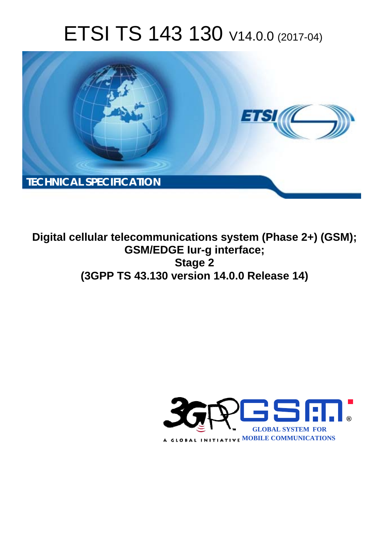# ETSI TS 143 130 V14.0.0 (2017-04)



**Digital cellular telecommunications system (Phase 2+) (GSM); GSM/EDGE Iur-g interface; Stage 2 (3GPP TS 43.130 version 14.0.0 Release 14)** 

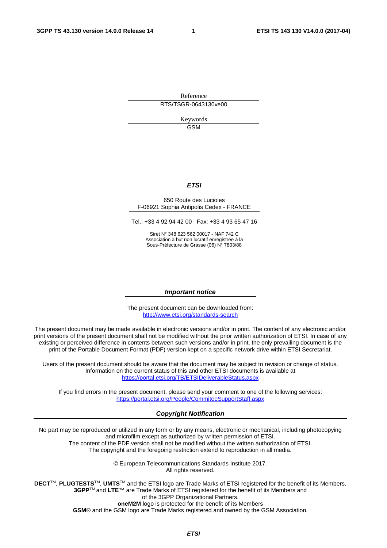Reference RTS/TSGR-0643130ve00

> Keywords GSM

#### *ETSI*

#### 650 Route des Lucioles F-06921 Sophia Antipolis Cedex - FRANCE

Tel.: +33 4 92 94 42 00 Fax: +33 4 93 65 47 16

Siret N° 348 623 562 00017 - NAF 742 C Association à but non lucratif enregistrée à la Sous-Préfecture de Grasse (06) N° 7803/88

#### *Important notice*

The present document can be downloaded from: <http://www.etsi.org/standards-search>

The present document may be made available in electronic versions and/or in print. The content of any electronic and/or print versions of the present document shall not be modified without the prior written authorization of ETSI. In case of any existing or perceived difference in contents between such versions and/or in print, the only prevailing document is the print of the Portable Document Format (PDF) version kept on a specific network drive within ETSI Secretariat.

Users of the present document should be aware that the document may be subject to revision or change of status. Information on the current status of this and other ETSI documents is available at <https://portal.etsi.org/TB/ETSIDeliverableStatus.aspx>

If you find errors in the present document, please send your comment to one of the following services: <https://portal.etsi.org/People/CommiteeSupportStaff.aspx>

#### *Copyright Notification*

No part may be reproduced or utilized in any form or by any means, electronic or mechanical, including photocopying and microfilm except as authorized by written permission of ETSI.

The content of the PDF version shall not be modified without the written authorization of ETSI. The copyright and the foregoing restriction extend to reproduction in all media.

> © European Telecommunications Standards Institute 2017. All rights reserved.

**DECT**TM, **PLUGTESTS**TM, **UMTS**TM and the ETSI logo are Trade Marks of ETSI registered for the benefit of its Members. **3GPP**TM and **LTE**™ are Trade Marks of ETSI registered for the benefit of its Members and of the 3GPP Organizational Partners.

**oneM2M** logo is protected for the benefit of its Members

**GSM**® and the GSM logo are Trade Marks registered and owned by the GSM Association.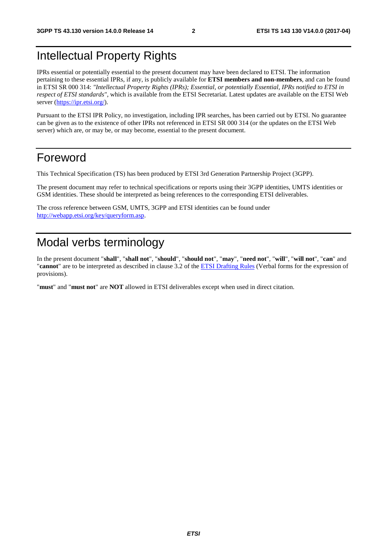# Intellectual Property Rights

IPRs essential or potentially essential to the present document may have been declared to ETSI. The information pertaining to these essential IPRs, if any, is publicly available for **ETSI members and non-members**, and can be found in ETSI SR 000 314: *"Intellectual Property Rights (IPRs); Essential, or potentially Essential, IPRs notified to ETSI in respect of ETSI standards"*, which is available from the ETSI Secretariat. Latest updates are available on the ETSI Web server ([https://ipr.etsi.org/\)](https://ipr.etsi.org/).

Pursuant to the ETSI IPR Policy, no investigation, including IPR searches, has been carried out by ETSI. No guarantee can be given as to the existence of other IPRs not referenced in ETSI SR 000 314 (or the updates on the ETSI Web server) which are, or may be, or may become, essential to the present document.

# Foreword

This Technical Specification (TS) has been produced by ETSI 3rd Generation Partnership Project (3GPP).

The present document may refer to technical specifications or reports using their 3GPP identities, UMTS identities or GSM identities. These should be interpreted as being references to the corresponding ETSI deliverables.

The cross reference between GSM, UMTS, 3GPP and ETSI identities can be found under [http://webapp.etsi.org/key/queryform.asp.](http://webapp.etsi.org/key/queryform.asp)

# Modal verbs terminology

In the present document "**shall**", "**shall not**", "**should**", "**should not**", "**may**", "**need not**", "**will**", "**will not**", "**can**" and "**cannot**" are to be interpreted as described in clause 3.2 of the [ETSI Drafting Rules](https://portal.etsi.org/Services/editHelp!/Howtostart/ETSIDraftingRules.aspx) (Verbal forms for the expression of provisions).

"**must**" and "**must not**" are **NOT** allowed in ETSI deliverables except when used in direct citation.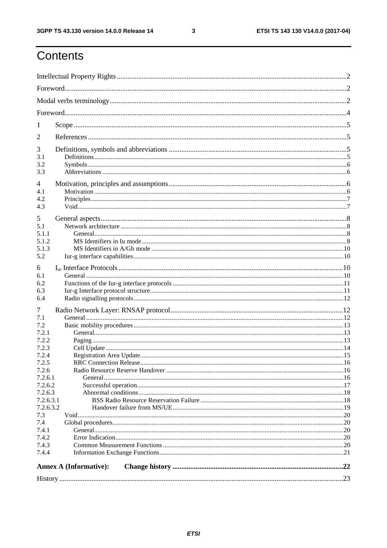$\mathbf{3}$ 

# Contents

| 1                                                                                                                                                                                  |  |  |  |  |  |
|------------------------------------------------------------------------------------------------------------------------------------------------------------------------------------|--|--|--|--|--|
| 2                                                                                                                                                                                  |  |  |  |  |  |
| 3<br>3.1<br>3.2<br>3.3                                                                                                                                                             |  |  |  |  |  |
| 4<br>4.1<br>4.2<br>4.3                                                                                                                                                             |  |  |  |  |  |
| 5<br>5.1<br>5.1.1<br>5.1.2<br>5.1.3<br>5.2                                                                                                                                         |  |  |  |  |  |
| 6<br>6.1<br>6.2<br>6.3<br>6.4                                                                                                                                                      |  |  |  |  |  |
| 7<br>7.1<br>7.2<br>7.2.1<br>7.2.2<br>7.2.3<br>7.2.4<br>7.2.5<br>7.2.6<br>7.2.6.1<br>7.2.6.2<br>7.2.6.3<br>7.2.6.3.1<br>7.2.6.3.2<br>7.3<br>7.4<br>7.4.1<br>7.4.2<br>7.4.3<br>7.4.4 |  |  |  |  |  |
| <b>Annex A (Informative):</b>                                                                                                                                                      |  |  |  |  |  |
|                                                                                                                                                                                    |  |  |  |  |  |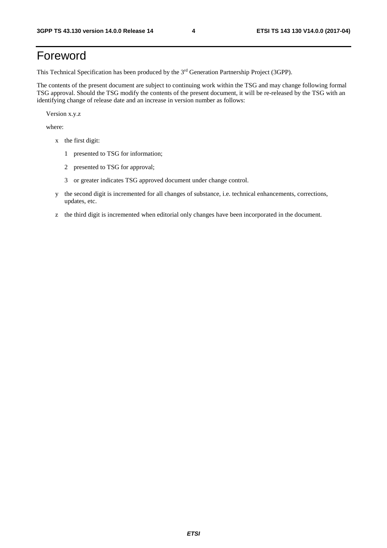# Foreword

This Technical Specification has been produced by the 3rd Generation Partnership Project (3GPP).

The contents of the present document are subject to continuing work within the TSG and may change following formal TSG approval. Should the TSG modify the contents of the present document, it will be re-released by the TSG with an identifying change of release date and an increase in version number as follows:

Version x.y.z

where:

- x the first digit:
	- 1 presented to TSG for information;
	- 2 presented to TSG for approval;
	- 3 or greater indicates TSG approved document under change control.
- y the second digit is incremented for all changes of substance, i.e. technical enhancements, corrections, updates, etc.
- z the third digit is incremented when editorial only changes have been incorporated in the document.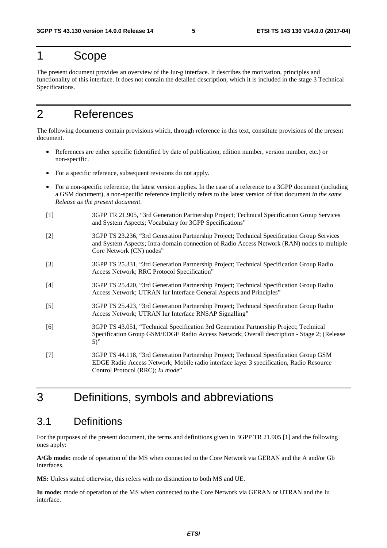# 1 Scope

The present document provides an overview of the Iur-g interface. It describes the motivation, principles and functionality of this interface. It does not contain the detailed description, which it is included in the stage 3 Technical Specifications.

# 2 References

The following documents contain provisions which, through reference in this text, constitute provisions of the present document.

- References are either specific (identified by date of publication, edition number, version number, etc.) or non-specific.
- For a specific reference, subsequent revisions do not apply.
- For a non-specific reference, the latest version applies. In the case of a reference to a 3GPP document (including a GSM document), a non-specific reference implicitly refers to the latest version of that document *in the same Release as the present document*.
- [1] 3GPP TR 21.905, "3rd Generation Partnership Project; Technical Specification Group Services and System Aspects; Vocabulary for 3GPP Specifications"
- [2] 3GPP TS 23.236, "3rd Generation Partnership Project; Technical Specification Group Services and System Aspects; Intra-domain connection of Radio Access Network (RAN) nodes to multiple Core Network (CN) nodes"
- [3] 3GPP TS 25.331, "3rd Generation Partnership Project; Technical Specification Group Radio Access Network; RRC Protocol Specification"
- [4] 3GPP TS 25.420, "3rd Generation Partnership Project; Technical Specification Group Radio Access Network; UTRAN Iur Interface General Aspects and Principles"
- [5] 3GPP TS 25.423, "3rd Generation Partnership Project; Technical Specification Group Radio Access Network; UTRAN Iur Interface RNSAP Signalling"
- [6] 3GPP TS 43.051, "Technical Specification 3rd Generation Partnership Project; Technical Specification Group GSM/EDGE Radio Access Network; Overall description - Stage 2; (Release 5)"
- [7] 3GPP TS 44.118, "3rd Generation Partnership Project; Technical Specification Group GSM EDGE Radio Access Network; Mobile radio interface layer 3 specification, Radio Resource Control Protocol (RRC); *Iu mode*"

# 3 Definitions, symbols and abbreviations

# 3.1 Definitions

For the purposes of the present document, the terms and definitions given in 3GPP TR 21.905 [1] and the following ones apply:

**A/Gb mode:** mode of operation of the MS when connected to the Core Network via GERAN and the A and/or Gb interfaces.

**MS:** Unless stated otherwise, this refers with no distinction to both MS and UE.

**Iu mode:** mode of operation of the MS when connected to the Core Network via GERAN or UTRAN and the Iu interface.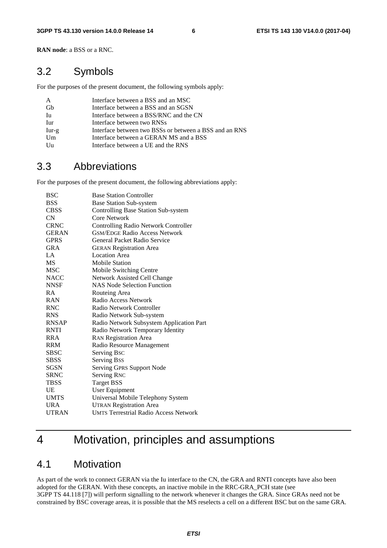**RAN node**: a BSS or a RNC.

# 3.2 Symbols

For the purposes of the present document, the following symbols apply:

| A       | Interface between a BSS and an MSC                     |
|---------|--------------------------------------------------------|
| Gb      | Interface between a BSS and an SGSN                    |
| Iu      | Interface between a BSS/RNC and the CN                 |
| Iur     | Interface between two RNSs                             |
| $Iur-g$ | Interface between two BSSs or between a BSS and an RNS |
| Um      | Interface between a GERAN MS and a BSS                 |
| Uu      | Interface between a UE and the RNS                     |

# 3.3 Abbreviations

For the purposes of the present document, the following abbreviations apply:

| <b>BSC</b>   | <b>Base Station Controller</b>               |
|--------------|----------------------------------------------|
| <b>BSS</b>   | <b>Base Station Sub-system</b>               |
| <b>CBSS</b>  | Controlling Base Station Sub-system          |
| CN           | Core Network                                 |
| <b>CRNC</b>  | <b>Controlling Radio Network Controller</b>  |
| <b>GERAN</b> | <b>GSM/EDGE Radio Access Network</b>         |
| <b>GPRS</b>  | General Packet Radio Service                 |
| <b>GRA</b>   | <b>GERAN Registration Area</b>               |
| $L^A$        | <b>Location Area</b>                         |
| <b>MS</b>    | <b>Mobile Station</b>                        |
| MSC          | Mobile Switching Centre                      |
| <b>NACC</b>  | Network Assisted Cell Change                 |
| <b>NNSF</b>  | <b>NAS Node Selection Function</b>           |
| R A          | Routeing Area                                |
| <b>RAN</b>   | Radio Access Network                         |
| <b>RNC</b>   | Radio Network Controller                     |
| <b>RNS</b>   | Radio Network Sub-system                     |
| <b>RNSAP</b> | Radio Network Subsystem Application Part     |
| <b>RNTI</b>  | Radio Network Temporary Identity             |
| <b>RRA</b>   | <b>RAN Registration Area</b>                 |
| <b>RRM</b>   | Radio Resource Management                    |
| <b>SBSC</b>  | Serving Bsc                                  |
| <b>SBSS</b>  | <b>Serving Bss</b>                           |
| SGSN         | <b>Serving GPRS Support Node</b>             |
| <b>SRNC</b>  | <b>Serving RNC</b>                           |
| <b>TBSS</b>  | <b>Target BSS</b>                            |
| <b>UE</b>    | User Equipment                               |
| <b>UMTS</b>  | Universal Mobile Telephony System            |
| <b>URA</b>   | <b>UTRAN Registration Area</b>               |
| <b>UTRAN</b> | <b>UMTS Terrestrial Radio Access Network</b> |

# 4 Motivation, principles and assumptions

### 4.1 Motivation

As part of the work to connect GERAN via the Iu interface to the CN, the GRA and RNTI concepts have also been adopted for the GERAN. With these concepts, an inactive mobile in the RRC-GRA\_PCH state (see 3GPP TS 44.118 [7]) will perform signalling to the network whenever it changes the GRA. Since GRAs need not be constrained by BSC coverage areas, it is possible that the MS reselects a cell on a different BSC but on the same GRA.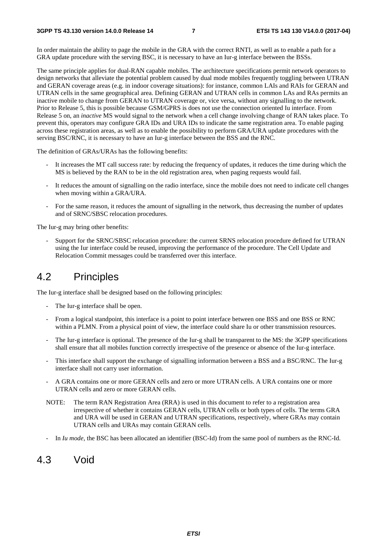In order maintain the ability to page the mobile in the GRA with the correct RNTI, as well as to enable a path for a GRA update procedure with the serving BSC, it is necessary to have an Iur-g interface between the BSSs.

The same principle applies for dual-RAN capable mobiles. The architecture specifications permit network operators to design networks that alleviate the potential problem caused by dual mode mobiles frequently toggling between UTRAN and GERAN coverage areas (e.g. in indoor coverage situations): for instance, common LAIs and RAIs for GERAN and UTRAN cells in the same geographical area. Defining GERAN and UTRAN cells in common LAs and RAs permits an inactive mobile to change from GERAN to UTRAN coverage or, vice versa, without any signalling to the network. Prior to Release 5, this is possible because GSM/GPRS is does not use the connection oriented Iu interface. From Release 5 on, an *inactive* MS would signal to the network when a cell change involving change of RAN takes place. To prevent this, operators may configure GRA IDs and URA IDs to indicate the same registration area. To enable paging across these registration areas, as well as to enable the possibility to perform GRA/URA update procedures with the serving BSC/RNC, it is necessary to have an Iur-g interface between the BSS and the RNC.

The definition of GRAs/URAs has the following benefits:

- It increases the MT call success rate: by reducing the frequency of updates, it reduces the time during which the MS is believed by the RAN to be in the old registration area, when paging requests would fail.
- It reduces the amount of signalling on the radio interface, since the mobile does not need to indicate cell changes when moving within a GRA/URA.
- For the same reason, it reduces the amount of signalling in the network, thus decreasing the number of updates and of SRNC/SBSC relocation procedures.

The Iur-g may bring other benefits:

Support for the SRNC/SBSC relocation procedure: the current SRNS relocation procedure defined for UTRAN using the Iur interface could be reused, improving the performance of the procedure. The Cell Update and Relocation Commit messages could be transferred over this interface.

### 4.2 Principles

The Iur-g interface shall be designed based on the following principles:

- The Iur-g interface shall be open.
- From a logical standpoint, this interface is a point to point interface between one BSS and one BSS or RNC within a PLMN. From a physical point of view, the interface could share Iu or other transmission resources.
- The Iur-g interface is optional. The presence of the Iur-g shall be transparent to the MS: the 3GPP specifications shall ensure that all mobiles function correctly irrespective of the presence or absence of the Iur-g interface.
- This interface shall support the exchange of signalling information between a BSS and a BSC/RNC. The Iur-g interface shall not carry user information.
- A GRA contains one or more GERAN cells and zero or more UTRAN cells. A URA contains one or more UTRAN cells and zero or more GERAN cells.
- NOTE: The term RAN Registration Area (RRA) is used in this document to refer to a registration area irrespective of whether it contains GERAN cells, UTRAN cells or both types of cells. The terms GRA and URA will be used in GERAN and UTRAN specifications, respectively, where GRAs may contain UTRAN cells and URAs may contain GERAN cells.
- In *Iu mode*, the BSC has been allocated an identifier (BSC-Id) from the same pool of numbers as the RNC-Id.

### 4.3 Void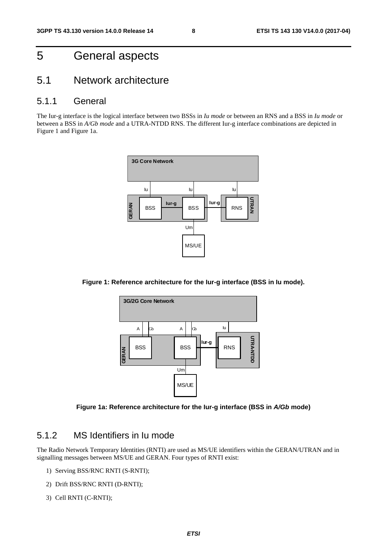# 5 General aspects

## 5.1 Network architecture

#### 5.1.1 General

The Iur-g interface is the logical interface between two BSSs in *Iu mode* or between an RNS and a BSS in *Iu mode* or between a BSS in *A/Gb mode* and a UTRA-NTDD RNS. The different Iur-g interface combinations are depicted in Figure 1 and Figure 1a.



**Figure 1: Reference architecture for the Iur-g interface (BSS in Iu mode).** 



**Figure 1a: Reference architecture for the Iur-g interface (BSS in** *A/Gb* **mode)** 

### 5.1.2 MS Identifiers in Iu mode

The Radio Network Temporary Identities (RNTI) are used as MS/UE identifiers within the GERAN/UTRAN and in signalling messages between MS/UE and GERAN. Four types of RNTI exist:

- 1) Serving BSS/RNC RNTI (S-RNTI);
- 2) Drift BSS/RNC RNTI (D-RNTI);
- 3) Cell RNTI (C-RNTI);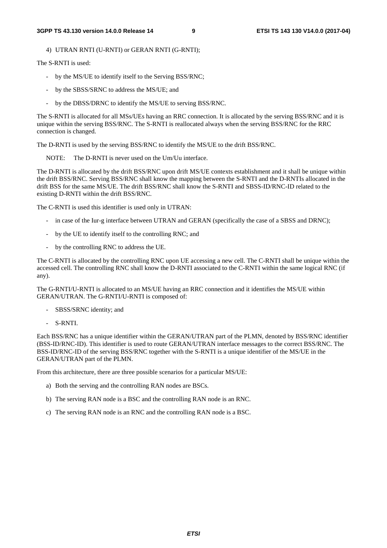4) UTRAN RNTI (U-RNTI) or GERAN RNTI (G-RNTI);

The S-RNTI is used:

- by the MS/UE to identify itself to the Serving BSS/RNC;
- by the SBSS/SRNC to address the MS/UE; and
- by the DBSS/DRNC to identify the MS/UE to serving BSS/RNC.

The S-RNTI is allocated for all MSs/UEs having an RRC connection. It is allocated by the serving BSS/RNC and it is unique within the serving BSS/RNC. The S-RNTI is reallocated always when the serving BSS/RNC for the RRC connection is changed.

The D-RNTI is used by the serving BSS/RNC to identify the MS/UE to the drift BSS/RNC.

NOTE: The D-RNTI is never used on the Um/Uu interface.

The D-RNTI is allocated by the drift BSS/RNC upon drift MS/UE contexts establishment and it shall be unique within the drift BSS/RNC. Serving BSS/RNC shall know the mapping between the S-RNTI and the D-RNTIs allocated in the drift BSS for the same MS/UE. The drift BSS/RNC shall know the S-RNTI and SBSS-ID/RNC-ID related to the existing D-RNTI within the drift BSS/RNC.

The C-RNTI is used this identifier is used only in UTRAN:

- in case of the Iur-g interface between UTRAN and GERAN (specifically the case of a SBSS and DRNC);
- by the UE to identify itself to the controlling RNC; and
- by the controlling RNC to address the UE.

The C-RNTI is allocated by the controlling RNC upon UE accessing a new cell. The C-RNTI shall be unique within the accessed cell. The controlling RNC shall know the D-RNTI associated to the C-RNTI within the same logical RNC (if any).

The G-RNTI/U-RNTI is allocated to an MS/UE having an RRC connection and it identifies the MS/UE within GERAN/UTRAN. The G-RNTI/U-RNTI is composed of:

- SBSS/SRNC identity; and
- S-RNTI.

Each BSS/RNC has a unique identifier within the GERAN/UTRAN part of the PLMN, denoted by BSS/RNC identifier (BSS-ID/RNC-ID). This identifier is used to route GERAN/UTRAN interface messages to the correct BSS/RNC. The BSS-ID/RNC-ID of the serving BSS/RNC together with the S-RNTI is a unique identifier of the MS/UE in the GERAN/UTRAN part of the PLMN.

From this architecture, there are three possible scenarios for a particular MS/UE:

- a) Both the serving and the controlling RAN nodes are BSCs.
- b) The serving RAN node is a BSC and the controlling RAN node is an RNC.
- c) The serving RAN node is an RNC and the controlling RAN node is a BSC.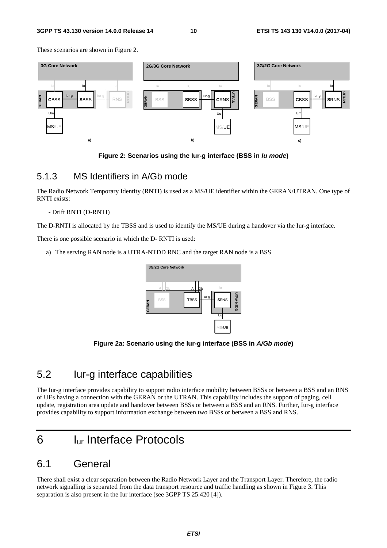#### **3GPP TS 43.130 version 14.0.0 Release 14 10 ETSI TS 143 130 V14.0.0 (2017-04)**

These scenarios are shown in Figure 2.



**Figure 2: Scenarios using the Iur-g interface (BSS in** *Iu mode***)** 

#### 5.1.3 MS Identifiers in A/Gb mode

The Radio Network Temporary Identity (RNTI) is used as a MS/UE identifier within the GERAN/UTRAN. One type of RNTI exists:

#### - Drift RNTI (D-RNTI)

The D-RNTI is allocated by the TBSS and is used to identify the MS/UE during a handover via the Iur-g interface.

There is one possible scenario in which the D- RNTI is used:

a) The serving RAN node is a UTRA-NTDD RNC and the target RAN node is a BSS



**Figure 2a: Scenario using the Iur-g interface (BSS in** *A/Gb mode***)** 

# 5.2 Iur-g interface capabilities

The Iur-g interface provides capability to support radio interface mobility between BSSs or between a BSS and an RNS of UEs having a connection with the GERAN or the UTRAN. This capability includes the support of paging, cell update, registration area update and handover between BSSs or between a BSS and an RNS. Further, Iur-g interface provides capability to support information exchange between two BSSs or between a BSS and RNS.

# 6 Iur Interface Protocols

### 6.1 General

There shall exist a clear separation between the Radio Network Layer and the Transport Layer. Therefore, the radio network signalling is separated from the data transport resource and traffic handling as shown in Figure 3. This separation is also present in the Iur interface (see 3GPP TS 25.420 [4]).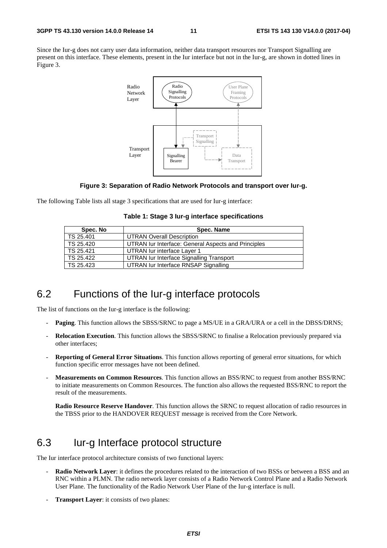Since the Iur-g does not carry user data information, neither data transport resources nor Transport Signalling are present on this interface. These elements, present in the Iur interface but not in the Iur-g, are shown in dotted lines in Figure 3.



#### **Figure 3: Separation of Radio Network Protocols and transport over Iur-g.**

The following Table lists all stage 3 specifications that are used for Iur-g interface:

|  |  |  |  | Table 1: Stage 3 lur-g interface specifications |
|--|--|--|--|-------------------------------------------------|
|--|--|--|--|-------------------------------------------------|

| Spec. No  | Spec. Name                                          |
|-----------|-----------------------------------------------------|
| TS 25.401 | <b>UTRAN Overall Description</b>                    |
| TS 25.420 | UTRAN Iur Interface: General Aspects and Principles |
| TS 25.421 | UTRAN lur interface Layer 1                         |
| TS 25.422 | UTRAN Iur Interface Signalling Transport            |
| TS 25.423 | UTRAN lur Interface RNSAP Signalling                |

### 6.2 Functions of the Iur-g interface protocols

The list of functions on the Iur-g interface is the following:

- **Paging**. This function allows the SBSS/SRNC to page a MS/UE in a GRA/URA or a cell in the DBSS/DRNS;
- **Relocation Execution**. This function allows the SBSS/SRNC to finalise a Relocation previously prepared via other interfaces;
- **Reporting of General Error Situations**. This function allows reporting of general error situations, for which function specific error messages have not been defined.
- **Measurements on Common Resources**. This function allows an BSS/RNC to request from another BSS/RNC to initiate measurements on Common Resources. The function also allows the requested BSS/RNC to report the result of the measurements.

**Radio Resource Reserve Handover**. This function allows the SRNC to request allocation of radio resources in the TBSS prior to the HANDOVER REQUEST message is received from the Core Network.

# 6.3 Iur-g Interface protocol structure

The Iur interface protocol architecture consists of two functional layers:

- **Radio Network Layer**: it defines the procedures related to the interaction of two BSSs or between a BSS and an RNC within a PLMN. The radio network layer consists of a Radio Network Control Plane and a Radio Network User Plane. The functionality of the Radio Network User Plane of the Iur-g interface is null.
- **Transport Layer:** it consists of two planes: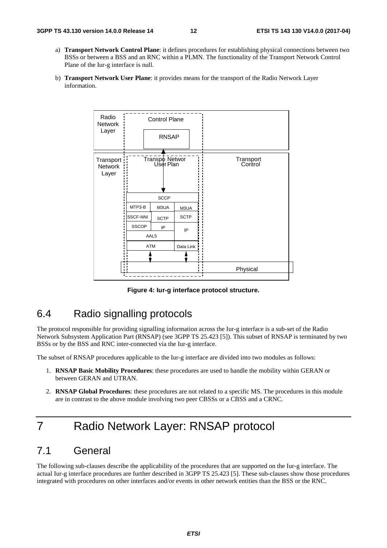- a) **Transport Network Control Plane**: it defines procedures for establishing physical connections between two BSSs or between a BSS and an RNC within a PLMN. The functionality of the Transport Network Control Plane of the Iur-g interface is null.
- b) **Transport Network User Plane**: it provides means for the transport of the Radio Network Layer information.



**Figure 4: Iur-g interface protocol structure.** 

# 6.4 Radio signalling protocols

The protocol responsible for providing signalling information across the Iur-g interface is a sub-set of the Radio Network Subsystem Application Part (RNSAP) (see 3GPP TS 25.423 [5]). This subset of RNSAP is terminated by two BSSs or by the BSS and RNC inter-connected via the Iur-g interface.

The subset of RNSAP procedures applicable to the Iur-g interface are divided into two modules as follows:

- 1. **RNSAP Basic Mobility Procedures**: these procedures are used to handle the mobility within GERAN or between GERAN and UTRAN.
- 2. **RNSAP Global Procedures**: these procedures are not related to a specific MS. The procedures in this module are in contrast to the above module involving two peer CBSSs or a CBSS and a CRNC.

# 7 Radio Network Layer: RNSAP protocol

# 7.1 General

The following sub-clauses describe the applicability of the procedures that are supported on the Iur-g interface. The actual Iur-g interface procedures are further described in 3GPP TS 25.423 [5]. These sub-clauses show those procedures integrated with procedures on other interfaces and/or events in other network entities than the BSS or the RNC.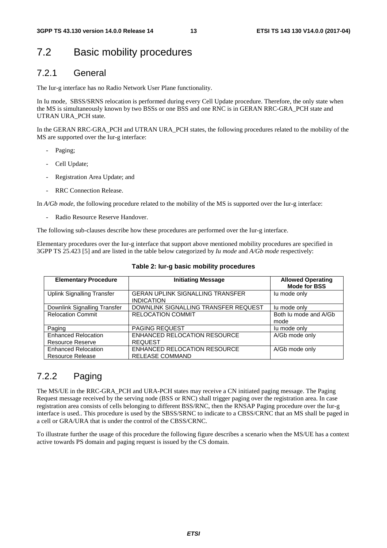# 7.2 Basic mobility procedures

### 7.2.1 General

The Iur-g interface has no Radio Network User Plane functionality.

In Iu mode, SBSS/SRNS relocation is performed during every Cell Update procedure. Therefore, the only state when the MS is simultaneously known by two BSSs or one BSS and one RNC is in GERAN RRC-GRA\_PCH state and UTRAN URA\_PCH state.

In the GERAN RRC-GRA PCH and UTRAN URA PCH states, the following procedures related to the mobility of the MS are supported over the Iur-g interface:

- Paging;
- Cell Update;
- Registration Area Update; and
- RRC Connection Release.

In *A/Gb mode*, the following procedure related to the mobility of the MS is supported over the Iur-g interface:

Radio Resource Reserve Handover.

The following sub-clauses describe how these procedures are performed over the Iur-g interface.

Elementary procedures over the Iur-g interface that support above mentioned mobility procedures are specified in 3GPP TS 25.423 [5] and are listed in the table below categorized by *Iu mode* and *A/Gb mode* respectively:

| <b>Elementary Procedure</b>                           | <b>Initiating Message</b>                                    | <b>Allowed Operating</b><br><b>Mode for BSS</b> |
|-------------------------------------------------------|--------------------------------------------------------------|-------------------------------------------------|
| <b>Uplink Signalling Transfer</b>                     | <b>GERAN UPLINK SIGNALLING TRANSFER</b><br><b>INDICATION</b> | lu mode only                                    |
| Downlink Signalling Transfer                          | DOWNLINK SIGNALLING TRANSFER REQUEST                         | lu mode only                                    |
| <b>Relocation Commit</b>                              | <b>RELOCATION COMMIT</b>                                     | Both Ju mode and A/Gb<br>mode                   |
| Paging                                                | <b>PAGING REQUEST</b>                                        | lu mode only                                    |
| <b>Enhanced Relocation</b><br><b>Resource Reserve</b> | ENHANCED RELOCATION RESOURCE<br><b>REQUEST</b>               | A/Gb mode only                                  |
| <b>Enhanced Relocation</b><br><b>Resource Release</b> | ENHANCED RELOCATION RESOURCE<br><b>RELEASE COMMAND</b>       | A/Gb mode only                                  |

#### **Table 2: Iur-g basic mobility procedures**

### 7.2.2 Paging

The MS/UE in the RRC-GRA\_PCH and URA-PCH states may receive a CN initiated paging message. The Paging Request message received by the serving node (BSS or RNC) shall trigger paging over the registration area. In case registration area consists of cells belonging to different BSS/RNC, then the RNSAP Paging procedure over the Iur-g interface is used.. This procedure is used by the SBSS/SRNC to indicate to a CBSS/CRNC that an MS shall be paged in a cell or GRA/URA that is under the control of the CBSS/CRNC.

To illustrate further the usage of this procedure the following figure describes a scenario when the MS/UE has a context active towards PS domain and paging request is issued by the CS domain.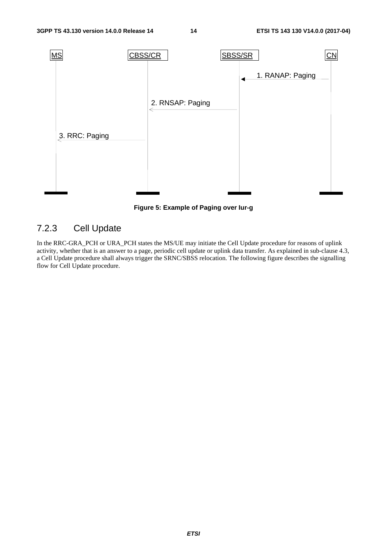

**Figure 5: Example of Paging over Iur-g** 

# 7.2.3 Cell Update

In the RRC-GRA\_PCH or URA\_PCH states the MS/UE may initiate the Cell Update procedure for reasons of uplink activity, whether that is an answer to a page, periodic cell update or uplink data transfer. As explained in sub-clause 4.3, a Cell Update procedure shall always trigger the SRNC/SBSS relocation. The following figure describes the signalling flow for Cell Update procedure.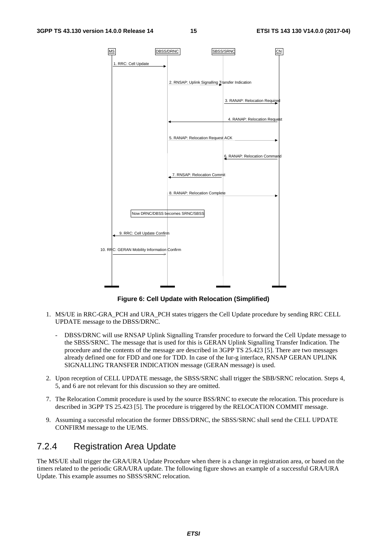

**Figure 6: Cell Update with Relocation (Simplified)** 

- 1. MS/UE in RRC-GRA\_PCH and URA\_PCH states triggers the Cell Update procedure by sending RRC CELL UPDATE message to the DBSS/DRNC.
	- DBSS/DRNC will use RNSAP Uplink Signalling Transfer procedure to forward the Cell Update message to the SBSS/SRNC. The message that is used for this is GERAN Uplink Signalling Transfer Indication. The procedure and the contents of the message are described in 3GPP TS 25.423 [5]. There are two messages already defined one for FDD and one for TDD. In case of the Iur-g interface, RNSAP GERAN UPLINK SIGNALLING TRANSFER INDICATION message (GERAN message) is used.
- 2. Upon reception of CELL UPDATE message, the SBSS/SRNC shall trigger the SBB/SRNC relocation. Steps 4, 5, and 6 are not relevant for this discussion so they are omitted.
- 7. The Relocation Commit procedure is used by the source BSS/RNC to execute the relocation. This procedure is described in 3GPP TS 25.423 [5]. The procedure is triggered by the RELOCATION COMMIT message.
- 9. Assuming a successful relocation the former DBSS/DRNC, the SBSS/SRNC shall send the CELL UPDATE CONFIRM message to the UE/MS.

#### 7.2.4 Registration Area Update

The MS/UE shall trigger the GRA/URA Update Procedure when there is a change in registration area, or based on the timers related to the periodic GRA/URA update. The following figure shows an example of a successful GRA/URA Update. This example assumes no SBSS/SRNC relocation.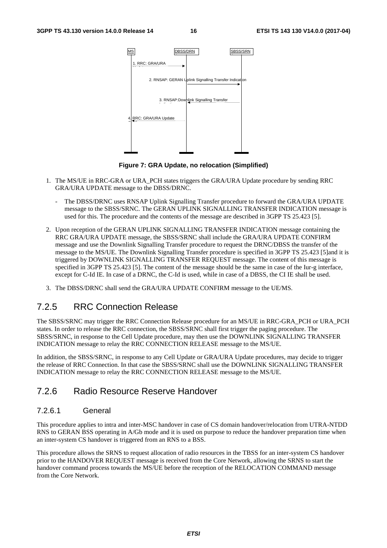

**Figure 7: GRA Update, no relocation (Simplified)** 

- 1. The MS/UE in RRC-GRA or URA\_PCH states triggers the GRA/URA Update procedure by sending RRC GRA/URA UPDATE message to the DBSS/DRNC.
	- The DBSS/DRNC uses RNSAP Uplink Signalling Transfer procedure to forward the GRA/URA UPDATE message to the SBSS/SRNC. The GERAN UPLINK SIGNALLING TRANSFER INDICATION message is used for this. The procedure and the contents of the message are described in 3GPP TS 25.423 [5].
- 2. Upon reception of the GERAN UPLINK SIGNALLING TRANSFER INDICATION message containing the RRC GRA/URA UPDATE message, the SBSS/SRNC shall include the GRA/URA UPDATE CONFIRM message and use the Downlink Signalling Transfer procedure to request the DRNC/DBSS the transfer of the message to the MS/UE. The Downlink Signalling Transfer procedure is specified in 3GPP TS 25.423 [5]and it is triggered by DOWNLINK SIGNALLING TRANSFER REQUEST message. The content of this message is specified in 3GPP TS 25.423 [5]. The content of the message should be the same in case of the Iur-g interface, except for C-Id IE. In case of a DRNC, the C-Id is used, while in case of a DBSS, the CI IE shall be used.
- 3. The DBSS/DRNC shall send the GRA/URA UPDATE CONFIRM message to the UE/MS.

### 7.2.5 RRC Connection Release

The SBSS/SRNC may trigger the RRC Connection Release procedure for an MS/UE in RRC-GRA\_PCH or URA\_PCH states. In order to release the RRC connection, the SBSS/SRNC shall first trigger the paging procedure. The SBSS/SRNC, in response to the Cell Update procedure, may then use the DOWNLINK SIGNALLING TRANSFER INDICATION message to relay the RRC CONNECTION RELEASE message to the MS/UE.

In addition, the SBSS/SRNC, in response to any Cell Update or GRA/URA Update procedures, may decide to trigger the release of RRC Connection. In that case the SBSS/SRNC shall use the DOWNLINK SIGNALLING TRANSFER INDICATION message to relay the RRC CONNECTION RELEASE message to the MS/UE.

#### 7.2.6 Radio Resource Reserve Handover

#### 7.2.6.1 General

This procedure applies to intra and inter-MSC handover in case of CS domain handover/relocation from UTRA-NTDD RNS to GERAN BSS operating in A/Gb mode and it is used on purpose to reduce the handover preparation time when an inter-system CS handover is triggered from an RNS to a BSS.

This procedure allows the SRNS to request allocation of radio resources in the TBSS for an inter-system CS handover prior to the HANDOVER REQUEST message is received from the Core Network, allowing the SRNS to start the handover command process towards the MS/UE before the reception of the RELOCATION COMMAND message from the Core Network.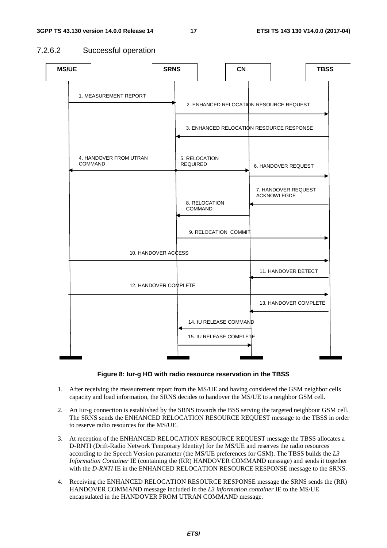#### 7.2.6.2 Successful operation



#### **Figure 8: Iur-g HO with radio resource reservation in the TBSS**

- 1. After receiving the measurement report from the MS/UE and having considered the GSM neighbor cells capacity and load information, the SRNS decides to handover the MS/UE to a neighbor GSM cell.
- 2. An Iur-g connection is established by the SRNS towards the BSS serving the targeted neighbour GSM cell. The SRNS sends the ENHANCED RELOCATION RESOURCE REQUEST message to the TBSS in order to reserve radio resources for the MS/UE.
- 3. At reception of the ENHANCED RELOCATION RESOURCE REQUEST message the TBSS allocates a D-RNTI (Drift-Radio Network Temporary Identity) for the MS/UE and reserves the radio resources according to the Speech Version parameter (the MS/UE preferences for GSM). The TBSS builds the *L3 Information Container* IE (containing the (RR) HANDOVER COMMAND message) and sends it together with the *D-RNTI* IE in the ENHANCED RELOCATION RESOURCE RESPONSE message to the SRNS.
- 4. Receiving the ENHANCED RELOCATION RESOURCE RESPONSE message the SRNS sends the (RR) HANDOVER COMMAND message included in the *L3 information container* IE to the MS/UE encapsulated in the HANDOVER FROM UTRAN COMMAND message.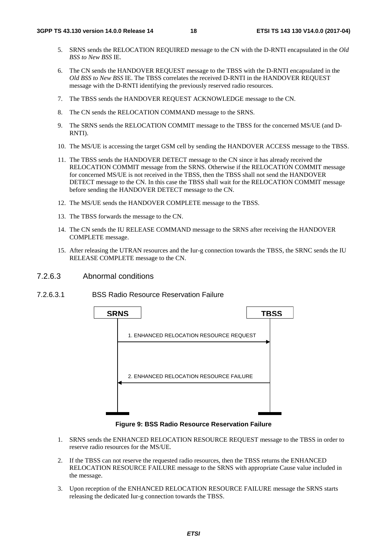- 5. SRNS sends the RELOCATION REQUIRED message to the CN with the D-RNTI encapsulated in the *Old BSS to New BSS* IE.
- 6. The CN sends the HANDOVER REQUEST message to the TBSS with the D-RNTI encapsulated in the *Old BSS to New BSS* IE. The TBSS correlates the received D-RNTI in the HANDOVER REQUEST message with the D-RNTI identifying the previously reserved radio resources.
- 7. The TBSS sends the HANDOVER REQUEST ACKNOWLEDGE message to the CN.
- 8. The CN sends the RELOCATION COMMAND message to the SRNS.
- 9. The SRNS sends the RELOCATION COMMIT message to the TBSS for the concerned MS/UE (and D-RNTI).
- 10. The MS/UE is accessing the target GSM cell by sending the HANDOVER ACCESS message to the TBSS.
- 11. The TBSS sends the HANDOVER DETECT message to the CN since it has already received the RELOCATION COMMIT message from the SRNS. Otherwise if the RELOCATION COMMIT message for concerned MS/UE is not received in the TBSS, then the TBSS shall not send the HANDOVER DETECT message to the CN. In this case the TBSS shall wait for the RELOCATION COMMIT message before sending the HANDOVER DETECT message to the CN.
- 12. The MS/UE sends the HANDOVER COMPLETE message to the TBSS.
- 13. The TBSS forwards the message to the CN.
- 14. The CN sends the IU RELEASE COMMAND message to the SRNS after receiving the HANDOVER COMPLETE message.
- 15. After releasing the UTRAN resources and the Iur-g connection towards the TBSS, the SRNC sends the IU RELEASE COMPLETE message to the CN.
- 7.2.6.3 Abnormal conditions
- 7.2.6.3.1 BSS Radio Resource Reservation Failure



**Figure 9: BSS Radio Resource Reservation Failure** 

- 1. SRNS sends the ENHANCED RELOCATION RESOURCE REQUEST message to the TBSS in order to reserve radio resources for the MS/UE.
- 2. If the TBSS can not reserve the requested radio resources, then the TBSS returns the ENHANCED RELOCATION RESOURCE FAILURE message to the SRNS with appropriate Cause value included in the message.
- 3. Upon reception of the ENHANCED RELOCATION RESOURCE FAILURE message the SRNS starts releasing the dedicated Iur-g connection towards the TBSS.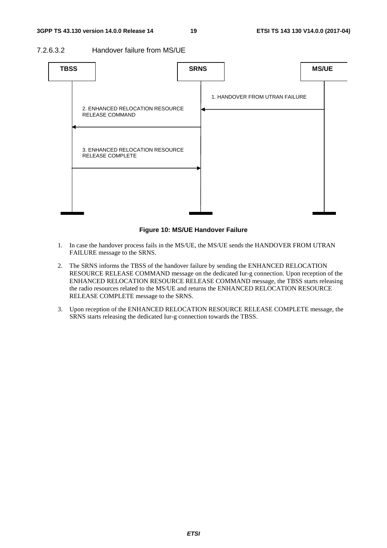#### 7.2.6.3.2 Handover failure from MS/UE



#### **Figure 10: MS/UE Handover Failure**

- 1. In case the handover process fails in the MS/UE, the MS/UE sends the HANDOVER FROM UTRAN FAILURE message to the SRNS.
- 2. The SRNS informs the TBSS of the handover failure by sending the ENHANCED RELOCATION RESOURCE RELEASE COMMAND message on the dedicated Iur-g connection. Upon reception of the ENHANCED RELOCATION RESOURCE RELEASE COMMAND message, the TBSS starts releasing the radio resources related to the MS/UE and returns the ENHANCED RELOCATION RESOURCE RELEASE COMPLETE message to the SRNS.
- 3. Upon reception of the ENHANCED RELOCATION RESOURCE RELEASE COMPLETE message, the SRNS starts releasing the dedicated Iur-g connection towards the TBSS.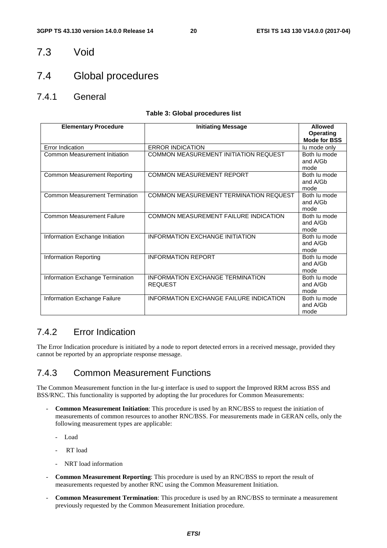### 7.3 Void

# 7.4 Global procedures

7.4.1 General

#### **Table 3: Global procedures list**

| <b>Elementary Procedure</b>           | <b>Initiating Message</b>                                 | <b>Allowed</b><br><b>Operating</b><br><b>Mode for BSS</b> |
|---------------------------------------|-----------------------------------------------------------|-----------------------------------------------------------|
| Error Indication                      | <b>ERROR INDICATION</b>                                   | lu mode only                                              |
| Common Measurement Initiation         | COMMON MEASUREMENT INITIATION REQUEST                     | Both lu mode<br>and A/Gb<br>mode                          |
| <b>Common Measurement Reporting</b>   | <b>COMMON MEASUREMENT REPORT</b>                          | Both lu mode<br>and A/Gb<br>mode                          |
| <b>Common Measurement Termination</b> | COMMON MEASUREMENT TERMINATION REQUEST                    | Both lu mode<br>and A/Gb<br>mode                          |
| <b>Common Measurement Failure</b>     | COMMON MEASUREMENT FAILURE INDICATION                     | Both lu mode<br>and A/Gb<br>mode                          |
| Information Exchange Initiation       | <b>INFORMATION EXCHANGE INITIATION</b>                    | Both lu mode<br>and A/Gb<br>mode                          |
| Information Reporting                 | <b>INFORMATION REPORT</b>                                 | Both lu mode<br>and A/Gb<br>mode                          |
| Information Exchange Termination      | <b>INFORMATION EXCHANGE TERMINATION</b><br><b>REQUEST</b> | Both lu mode<br>and A/Gb<br>mode                          |
| Information Exchange Failure          | <b>INFORMATION EXCHANGE FAILURE INDICATION</b>            | Both lu mode<br>and A/Gb<br>mode                          |

### 7.4.2 Error Indication

The Error Indication procedure is initiated by a node to report detected errors in a received message, provided they cannot be reported by an appropriate response message.

### 7.4.3 Common Measurement Functions

The Common Measurement function in the Iur-g interface is used to support the Improved RRM across BSS and BSS/RNC. This functionality is supported by adopting the Iur procedures for Common Measurements:

- **Common Measurement Initiation**: This procedure is used by an RNC/BSS to request the initiation of measurements of common resources to another RNC/BSS. For measurements made in GERAN cells, only the following measurement types are applicable:
	- Load
	- RT load
	- NRT load information
- **Common Measurement Reporting**: This procedure is used by an RNC/BSS to report the result of measurements requested by another RNC using the Common Measurement Initiation.
- **Common Measurement Termination**: This procedure is used by an RNC/BSS to terminate a measurement previously requested by the Common Measurement Initiation procedure.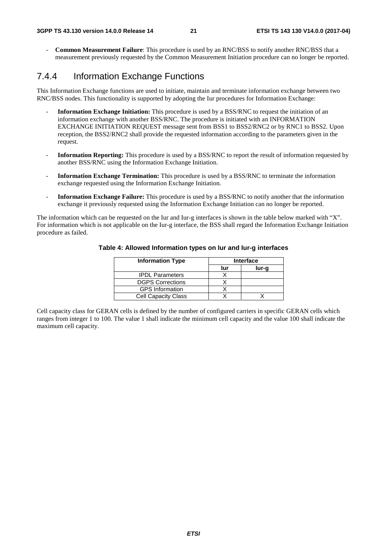- **Common Measurement Failure**: This procedure is used by an RNC/BSS to notify another RNC/BSS that a measurement previously requested by the Common Measurement Initiation procedure can no longer be reported.

### 7.4.4 Information Exchange Functions

This Information Exchange functions are used to initiate, maintain and terminate information exchange between two RNC/BSS nodes. This functionality is supported by adopting the Iur procedures for Information Exchange:

- **Information Exchange Initiation:** This procedure is used by a BSS/RNC to request the initiation of an information exchange with another BSS/RNC. The procedure is initiated with an INFORMATION EXCHANGE INITIATION REQUEST message sent from BSS1 to BSS2/RNC2 or by RNC1 to BSS2. Upon reception, the BSS2/RNC2 shall provide the requested information according to the parameters given in the request.
- **Information Reporting:** This procedure is used by a BSS/RNC to report the result of information requested by another BSS/RNC using the Information Exchange Initiation.
- **Information Exchange Termination:** This procedure is used by a BSS/RNC to terminate the information exchange requested using the Information Exchange Initiation.
- **Information Exchange Failure:** This procedure is used by a BSS/RNC to notify another that the information exchange it previously requested using the Information Exchange Initiation can no longer be reported.

The information which can be requested on the Iur and Iur-g interfaces is shown in the table below marked with "X". For information which is not applicable on the Iur-g interface, the BSS shall regard the Information Exchange Initiation procedure as failed.

| <b>Information Type</b>    | <b>Interface</b> |       |  |
|----------------------------|------------------|-------|--|
|                            | lur              | lur-a |  |
| <b>IPDL Parameters</b>     |                  |       |  |
| <b>DGPS Corrections</b>    |                  |       |  |
| <b>GPS Information</b>     |                  |       |  |
| <b>Cell Capacity Class</b> |                  |       |  |

#### **Table 4: Allowed Information types on Iur and Iur-g interfaces**

Cell capacity class for GERAN cells is defined by the number of configured carriers in specific GERAN cells which ranges from integer 1 to 100. The value 1 shall indicate the minimum cell capacity and the value 100 shall indicate the maximum cell capacity.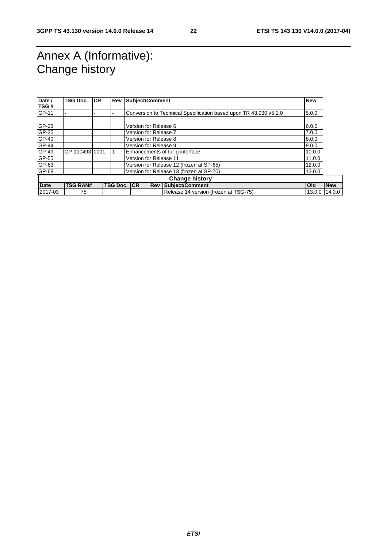# Annex A (Informative): Change history

| Date /                | TSG Doc.        | <b>CR</b> |                     | <b>Rev Subject/Comment</b>            |                                                    | <b>New</b>                                                        |        |            |
|-----------------------|-----------------|-----------|---------------------|---------------------------------------|----------------------------------------------------|-------------------------------------------------------------------|--------|------------|
| TSG#                  |                 |           |                     |                                       |                                                    |                                                                   |        |            |
| GP-11                 |                 |           |                     |                                       |                                                    | Conversion to Technical Specification based upon TR 43.930 v5.1.0 | 5.0.0  |            |
|                       |                 |           |                     |                                       |                                                    |                                                                   |        |            |
| GP-23                 |                 |           |                     | Version for Release 6                 |                                                    |                                                                   | 6.0.0  |            |
| GP-35                 |                 |           |                     | Version for Release 7                 |                                                    |                                                                   | 7.0.0  |            |
| GP-40                 |                 |           |                     | Version for Release 8                 |                                                    |                                                                   | 8.0.0  |            |
| GP-44                 |                 |           |                     |                                       | Version for Release 9<br>9.0.0                     |                                                                   |        |            |
| GP-49                 | GP-11049310001  |           |                     |                                       | Enhancements of lur-g interface                    |                                                                   |        |            |
| GP-55                 |                 |           |                     |                                       | Version for Release 11                             |                                                                   | 11.0.0 |            |
| GP-63                 |                 |           |                     |                                       | Version for Release 12 (frozen at SP-65)<br>12.0.0 |                                                                   |        |            |
| GP-68                 |                 |           |                     |                                       | Version for Release 13 (frozen at SP-70)           |                                                                   | 13.0.0 |            |
| <b>Change history</b> |                 |           |                     |                                       |                                                    |                                                                   |        |            |
| <b>Date</b>           | <b>TSG RAN#</b> |           | <b>TSG Doc. ICR</b> |                                       | <b>Rev</b>                                         | Subject/Comment                                                   | Old    | <b>New</b> |
| 2017-03               | 75              |           |                     | Release 14 version (frozen at TSG-75) |                                                    | 13.0.0                                                            | 14.0.0 |            |